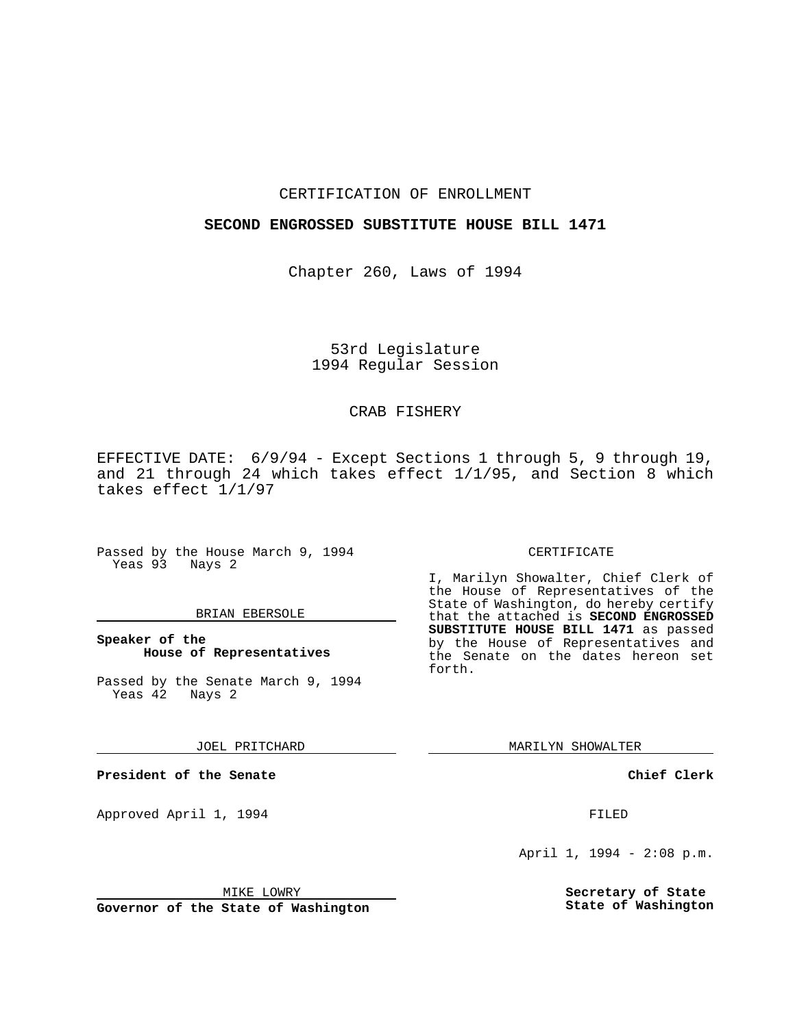### CERTIFICATION OF ENROLLMENT

### **SECOND ENGROSSED SUBSTITUTE HOUSE BILL 1471**

Chapter 260, Laws of 1994

# 53rd Legislature 1994 Regular Session

## CRAB FISHERY

EFFECTIVE DATE: 6/9/94 - Except Sections 1 through 5, 9 through 19, and 21 through 24 which takes effect 1/1/95, and Section 8 which takes effect 1/1/97

Passed by the House March 9, 1994 Yeas 93 Nays 2

#### BRIAN EBERSOLE

**Speaker of the House of Representatives**

Passed by the Senate March 9, 1994 Yeas 42 Nays 2

JOEL PRITCHARD

**President of the Senate**

Approved April 1, 1994 **FILED** 

MIKE LOWRY

**Governor of the State of Washington**

#### CERTIFICATE

I, Marilyn Showalter, Chief Clerk of the House of Representatives of the State of Washington, do hereby certify that the attached is **SECOND ENGROSSED SUBSTITUTE HOUSE BILL 1471** as passed by the House of Representatives and the Senate on the dates hereon set forth.

MARILYN SHOWALTER

**Chief Clerk**

April 1, 1994 - 2:08 p.m.

**Secretary of State State of Washington**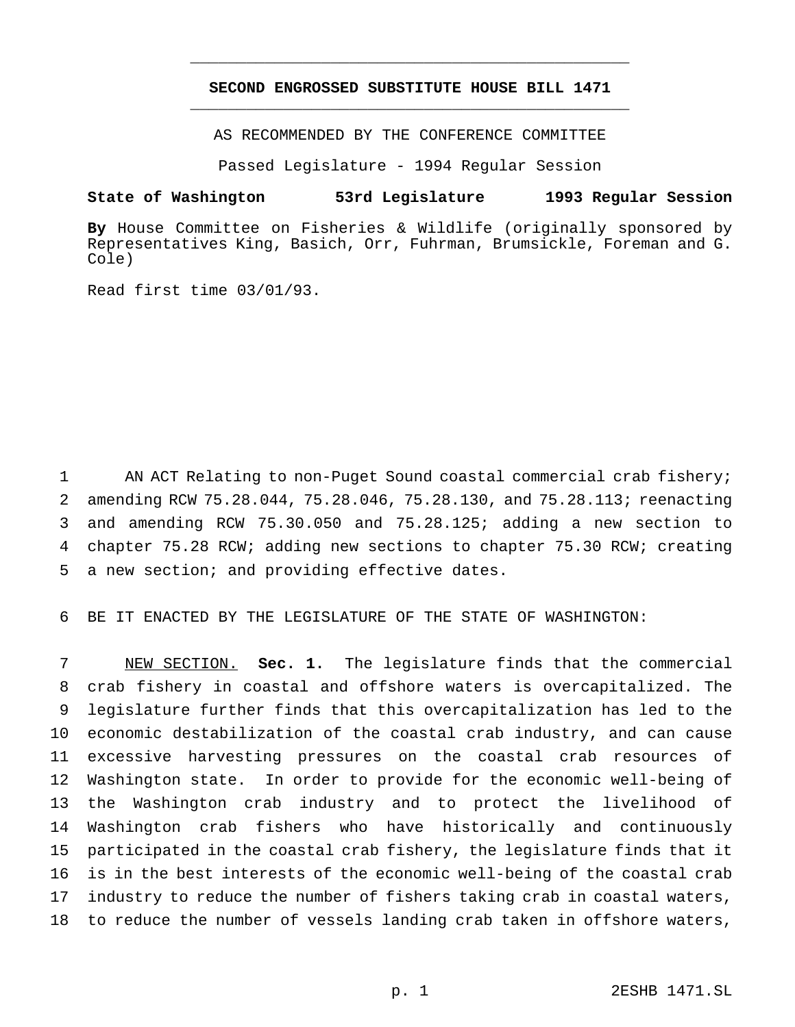## **SECOND ENGROSSED SUBSTITUTE HOUSE BILL 1471** \_\_\_\_\_\_\_\_\_\_\_\_\_\_\_\_\_\_\_\_\_\_\_\_\_\_\_\_\_\_\_\_\_\_\_\_\_\_\_\_\_\_\_\_\_\_\_

\_\_\_\_\_\_\_\_\_\_\_\_\_\_\_\_\_\_\_\_\_\_\_\_\_\_\_\_\_\_\_\_\_\_\_\_\_\_\_\_\_\_\_\_\_\_\_

AS RECOMMENDED BY THE CONFERENCE COMMITTEE

Passed Legislature - 1994 Regular Session

# **State of Washington 53rd Legislature 1993 Regular Session**

**By** House Committee on Fisheries & Wildlife (originally sponsored by Representatives King, Basich, Orr, Fuhrman, Brumsickle, Foreman and G. Cole)

Read first time 03/01/93.

 AN ACT Relating to non-Puget Sound coastal commercial crab fishery; amending RCW 75.28.044, 75.28.046, 75.28.130, and 75.28.113; reenacting and amending RCW 75.30.050 and 75.28.125; adding a new section to chapter 75.28 RCW; adding new sections to chapter 75.30 RCW; creating a new section; and providing effective dates.

BE IT ENACTED BY THE LEGISLATURE OF THE STATE OF WASHINGTON:

 NEW SECTION. **Sec. 1.** The legislature finds that the commercial crab fishery in coastal and offshore waters is overcapitalized. The legislature further finds that this overcapitalization has led to the economic destabilization of the coastal crab industry, and can cause excessive harvesting pressures on the coastal crab resources of Washington state. In order to provide for the economic well-being of the Washington crab industry and to protect the livelihood of Washington crab fishers who have historically and continuously participated in the coastal crab fishery, the legislature finds that it is in the best interests of the economic well-being of the coastal crab industry to reduce the number of fishers taking crab in coastal waters, to reduce the number of vessels landing crab taken in offshore waters,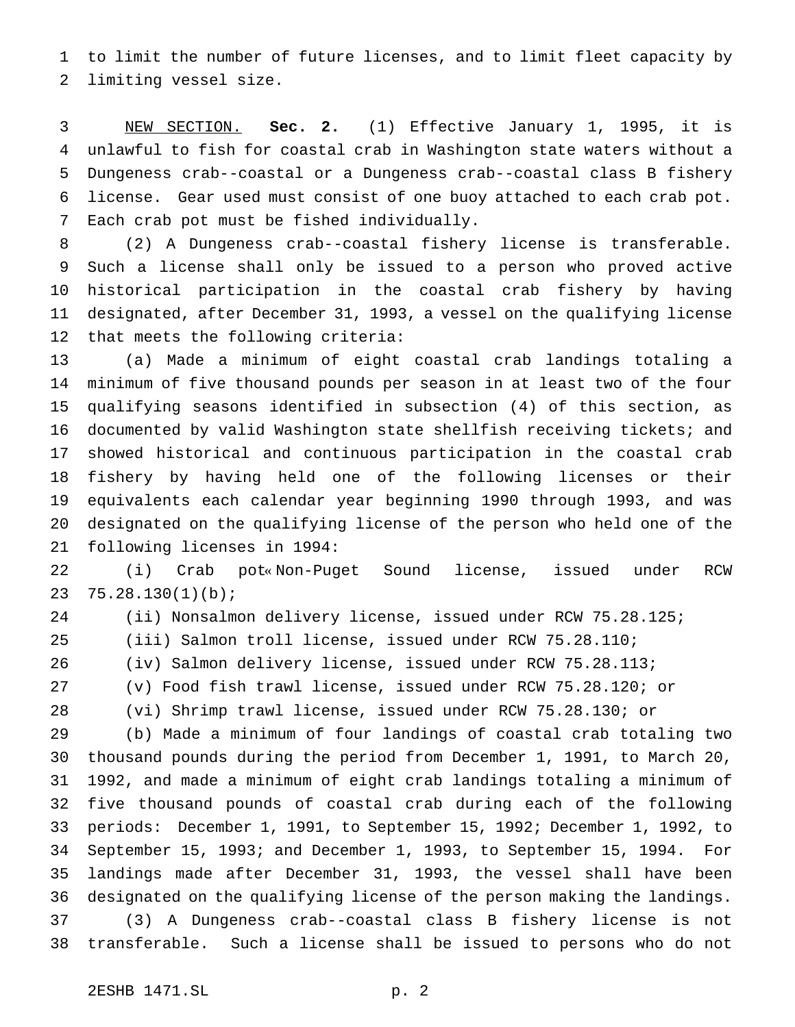to limit the number of future licenses, and to limit fleet capacity by limiting vessel size.

 NEW SECTION. **Sec. 2.** (1) Effective January 1, 1995, it is unlawful to fish for coastal crab in Washington state waters without a Dungeness crab--coastal or a Dungeness crab--coastal class B fishery license. Gear used must consist of one buoy attached to each crab pot. Each crab pot must be fished individually.

 (2) A Dungeness crab--coastal fishery license is transferable. Such a license shall only be issued to a person who proved active historical participation in the coastal crab fishery by having designated, after December 31, 1993, a vessel on the qualifying license that meets the following criteria:

 (a) Made a minimum of eight coastal crab landings totaling a minimum of five thousand pounds per season in at least two of the four qualifying seasons identified in subsection (4) of this section, as documented by valid Washington state shellfish receiving tickets; and showed historical and continuous participation in the coastal crab fishery by having held one of the following licenses or their equivalents each calendar year beginning 1990 through 1993, and was designated on the qualifying license of the person who held one of the following licenses in 1994:

 (i) Crab pot« Non-Puget Sound license, issued under RCW 75.28.130(1)(b);

(ii) Nonsalmon delivery license, issued under RCW 75.28.125;

(iii) Salmon troll license, issued under RCW 75.28.110;

(iv) Salmon delivery license, issued under RCW 75.28.113;

(v) Food fish trawl license, issued under RCW 75.28.120; or

(vi) Shrimp trawl license, issued under RCW 75.28.130; or

 (b) Made a minimum of four landings of coastal crab totaling two thousand pounds during the period from December 1, 1991, to March 20, 1992, and made a minimum of eight crab landings totaling a minimum of five thousand pounds of coastal crab during each of the following periods: December 1, 1991, to September 15, 1992; December 1, 1992, to September 15, 1993; and December 1, 1993, to September 15, 1994. For landings made after December 31, 1993, the vessel shall have been designated on the qualifying license of the person making the landings. (3) A Dungeness crab--coastal class B fishery license is not transferable. Such a license shall be issued to persons who do not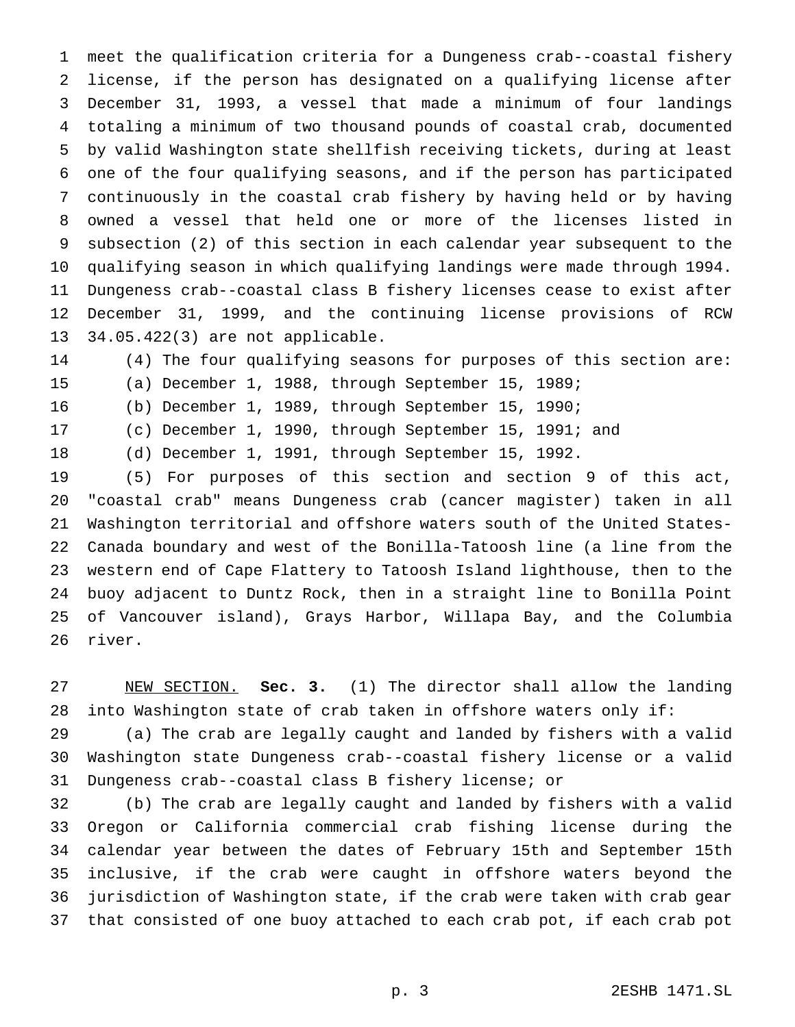meet the qualification criteria for a Dungeness crab--coastal fishery license, if the person has designated on a qualifying license after December 31, 1993, a vessel that made a minimum of four landings totaling a minimum of two thousand pounds of coastal crab, documented by valid Washington state shellfish receiving tickets, during at least one of the four qualifying seasons, and if the person has participated continuously in the coastal crab fishery by having held or by having owned a vessel that held one or more of the licenses listed in subsection (2) of this section in each calendar year subsequent to the qualifying season in which qualifying landings were made through 1994. Dungeness crab--coastal class B fishery licenses cease to exist after December 31, 1999, and the continuing license provisions of RCW 34.05.422(3) are not applicable.

(4) The four qualifying seasons for purposes of this section are:

(a) December 1, 1988, through September 15, 1989;

(b) December 1, 1989, through September 15, 1990;

(c) December 1, 1990, through September 15, 1991; and

(d) December 1, 1991, through September 15, 1992.

 (5) For purposes of this section and section 9 of this act, "coastal crab" means Dungeness crab (cancer magister) taken in all Washington territorial and offshore waters south of the United States- Canada boundary and west of the Bonilla-Tatoosh line (a line from the western end of Cape Flattery to Tatoosh Island lighthouse, then to the buoy adjacent to Duntz Rock, then in a straight line to Bonilla Point of Vancouver island), Grays Harbor, Willapa Bay, and the Columbia river.

 NEW SECTION. **Sec. 3.** (1) The director shall allow the landing into Washington state of crab taken in offshore waters only if:

 (a) The crab are legally caught and landed by fishers with a valid Washington state Dungeness crab--coastal fishery license or a valid Dungeness crab--coastal class B fishery license; or

 (b) The crab are legally caught and landed by fishers with a valid Oregon or California commercial crab fishing license during the calendar year between the dates of February 15th and September 15th inclusive, if the crab were caught in offshore waters beyond the jurisdiction of Washington state, if the crab were taken with crab gear that consisted of one buoy attached to each crab pot, if each crab pot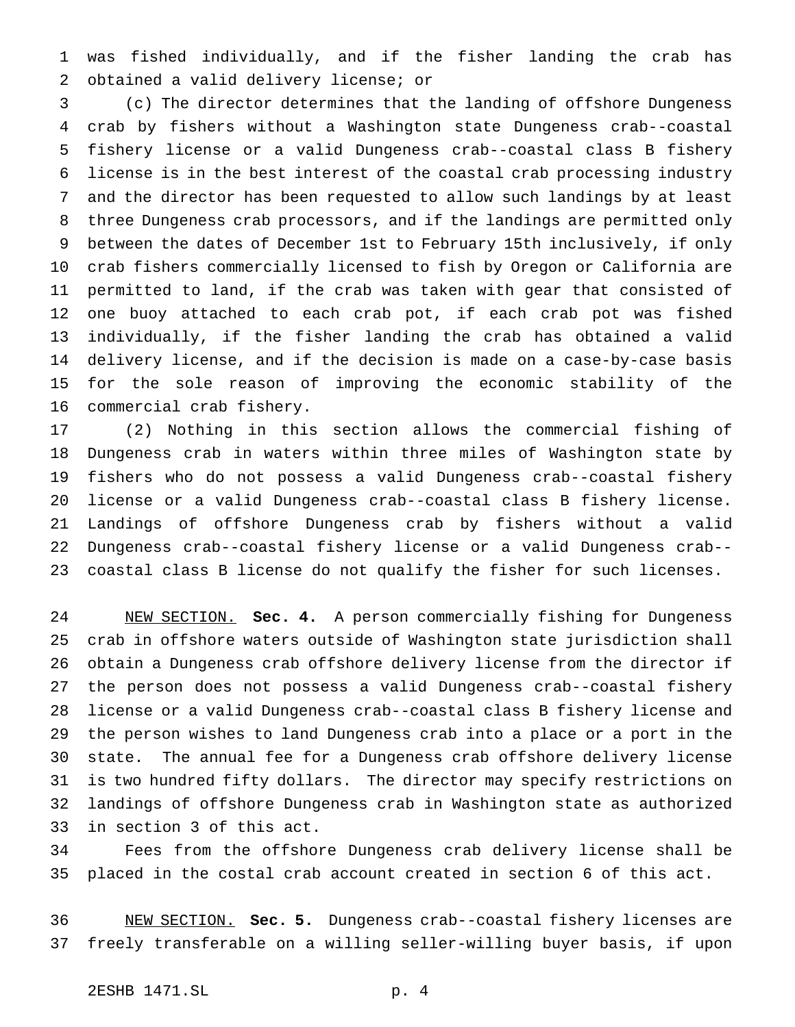was fished individually, and if the fisher landing the crab has obtained a valid delivery license; or

 (c) The director determines that the landing of offshore Dungeness crab by fishers without a Washington state Dungeness crab--coastal fishery license or a valid Dungeness crab--coastal class B fishery license is in the best interest of the coastal crab processing industry and the director has been requested to allow such landings by at least three Dungeness crab processors, and if the landings are permitted only between the dates of December 1st to February 15th inclusively, if only crab fishers commercially licensed to fish by Oregon or California are permitted to land, if the crab was taken with gear that consisted of one buoy attached to each crab pot, if each crab pot was fished individually, if the fisher landing the crab has obtained a valid delivery license, and if the decision is made on a case-by-case basis for the sole reason of improving the economic stability of the commercial crab fishery.

 (2) Nothing in this section allows the commercial fishing of Dungeness crab in waters within three miles of Washington state by fishers who do not possess a valid Dungeness crab--coastal fishery license or a valid Dungeness crab--coastal class B fishery license. Landings of offshore Dungeness crab by fishers without a valid Dungeness crab--coastal fishery license or a valid Dungeness crab-- coastal class B license do not qualify the fisher for such licenses.

 NEW SECTION. **Sec. 4.** A person commercially fishing for Dungeness crab in offshore waters outside of Washington state jurisdiction shall obtain a Dungeness crab offshore delivery license from the director if the person does not possess a valid Dungeness crab--coastal fishery license or a valid Dungeness crab--coastal class B fishery license and the person wishes to land Dungeness crab into a place or a port in the state. The annual fee for a Dungeness crab offshore delivery license is two hundred fifty dollars. The director may specify restrictions on landings of offshore Dungeness crab in Washington state as authorized in section 3 of this act.

 Fees from the offshore Dungeness crab delivery license shall be placed in the costal crab account created in section 6 of this act.

 NEW SECTION. **Sec. 5.** Dungeness crab--coastal fishery licenses are freely transferable on a willing seller-willing buyer basis, if upon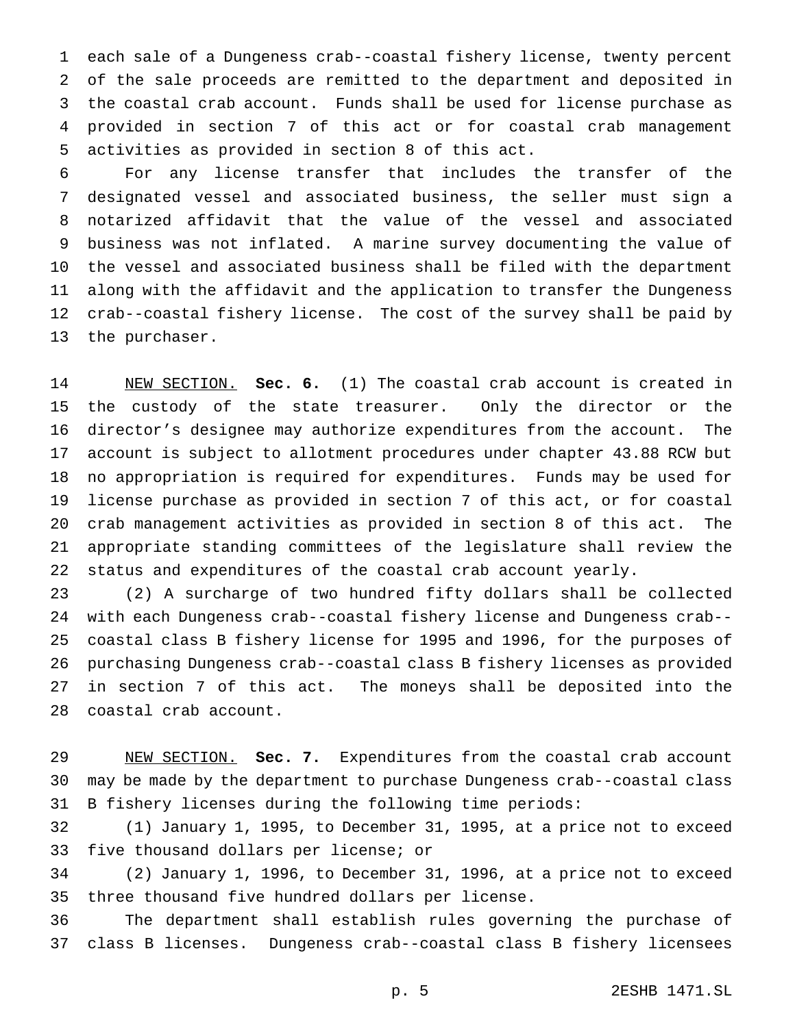each sale of a Dungeness crab--coastal fishery license, twenty percent of the sale proceeds are remitted to the department and deposited in the coastal crab account. Funds shall be used for license purchase as provided in section 7 of this act or for coastal crab management activities as provided in section 8 of this act.

 For any license transfer that includes the transfer of the designated vessel and associated business, the seller must sign a notarized affidavit that the value of the vessel and associated business was not inflated. A marine survey documenting the value of the vessel and associated business shall be filed with the department along with the affidavit and the application to transfer the Dungeness crab--coastal fishery license. The cost of the survey shall be paid by the purchaser.

 NEW SECTION. **Sec. 6.** (1) The coastal crab account is created in the custody of the state treasurer. Only the director or the director's designee may authorize expenditures from the account. The account is subject to allotment procedures under chapter 43.88 RCW but no appropriation is required for expenditures. Funds may be used for license purchase as provided in section 7 of this act, or for coastal crab management activities as provided in section 8 of this act. The appropriate standing committees of the legislature shall review the status and expenditures of the coastal crab account yearly.

 (2) A surcharge of two hundred fifty dollars shall be collected with each Dungeness crab--coastal fishery license and Dungeness crab-- coastal class B fishery license for 1995 and 1996, for the purposes of purchasing Dungeness crab--coastal class B fishery licenses as provided in section 7 of this act. The moneys shall be deposited into the coastal crab account.

 NEW SECTION. **Sec. 7.** Expenditures from the coastal crab account may be made by the department to purchase Dungeness crab--coastal class B fishery licenses during the following time periods:

 (1) January 1, 1995, to December 31, 1995, at a price not to exceed five thousand dollars per license; or

 (2) January 1, 1996, to December 31, 1996, at a price not to exceed three thousand five hundred dollars per license.

 The department shall establish rules governing the purchase of class B licenses. Dungeness crab--coastal class B fishery licensees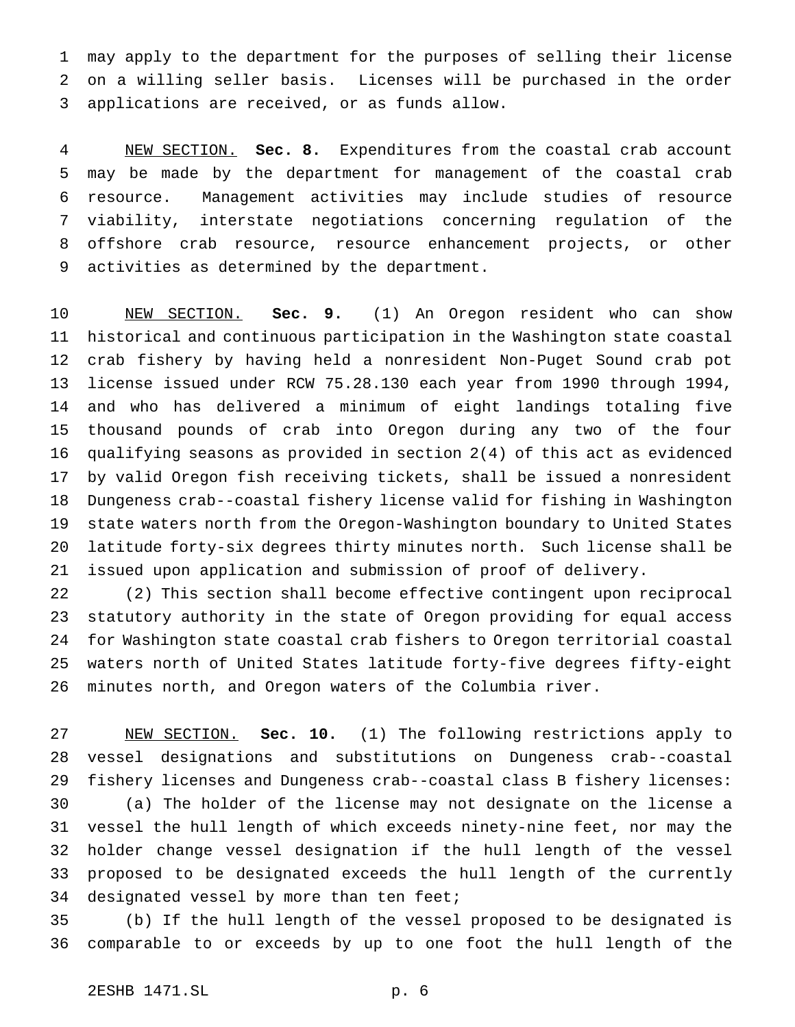may apply to the department for the purposes of selling their license on a willing seller basis. Licenses will be purchased in the order applications are received, or as funds allow.

 NEW SECTION. **Sec. 8.** Expenditures from the coastal crab account may be made by the department for management of the coastal crab resource. Management activities may include studies of resource viability, interstate negotiations concerning regulation of the offshore crab resource, resource enhancement projects, or other activities as determined by the department.

 NEW SECTION. **Sec. 9.** (1) An Oregon resident who can show historical and continuous participation in the Washington state coastal crab fishery by having held a nonresident Non-Puget Sound crab pot license issued under RCW 75.28.130 each year from 1990 through 1994, and who has delivered a minimum of eight landings totaling five thousand pounds of crab into Oregon during any two of the four qualifying seasons as provided in section 2(4) of this act as evidenced by valid Oregon fish receiving tickets, shall be issued a nonresident Dungeness crab--coastal fishery license valid for fishing in Washington state waters north from the Oregon-Washington boundary to United States latitude forty-six degrees thirty minutes north. Such license shall be issued upon application and submission of proof of delivery.

 (2) This section shall become effective contingent upon reciprocal statutory authority in the state of Oregon providing for equal access for Washington state coastal crab fishers to Oregon territorial coastal waters north of United States latitude forty-five degrees fifty-eight minutes north, and Oregon waters of the Columbia river.

 NEW SECTION. **Sec. 10.** (1) The following restrictions apply to vessel designations and substitutions on Dungeness crab--coastal fishery licenses and Dungeness crab--coastal class B fishery licenses: (a) The holder of the license may not designate on the license a vessel the hull length of which exceeds ninety-nine feet, nor may the holder change vessel designation if the hull length of the vessel proposed to be designated exceeds the hull length of the currently 34 designated vessel by more than ten feet;

 (b) If the hull length of the vessel proposed to be designated is comparable to or exceeds by up to one foot the hull length of the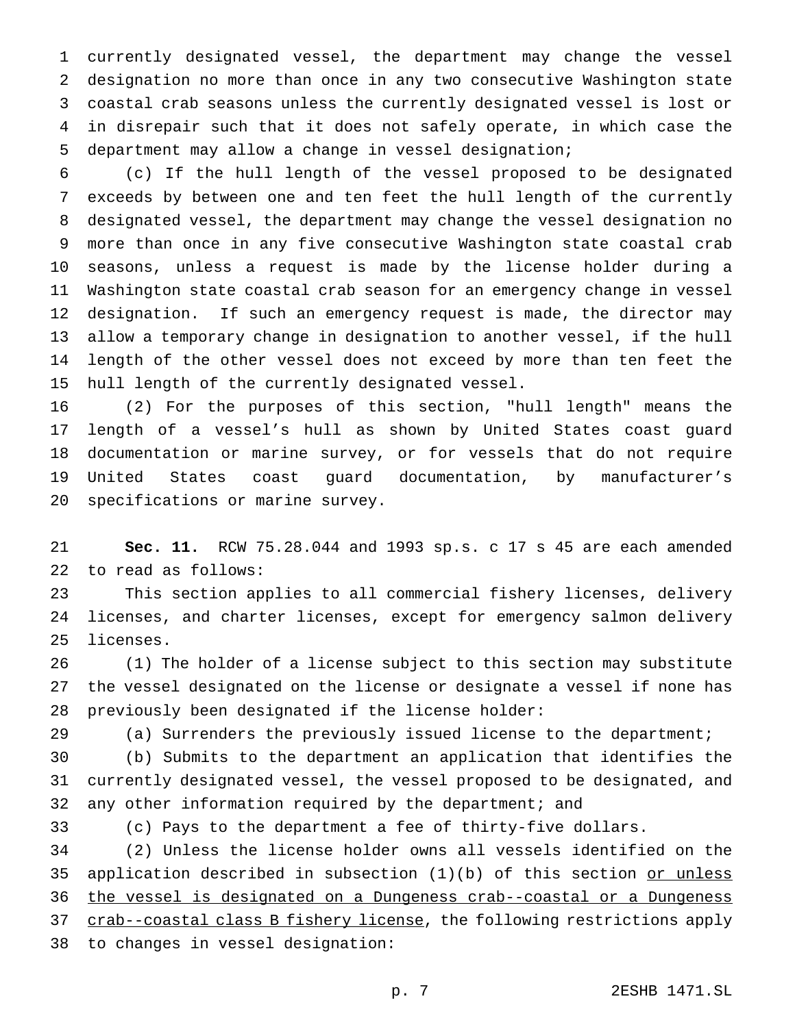currently designated vessel, the department may change the vessel designation no more than once in any two consecutive Washington state coastal crab seasons unless the currently designated vessel is lost or in disrepair such that it does not safely operate, in which case the department may allow a change in vessel designation;

 (c) If the hull length of the vessel proposed to be designated exceeds by between one and ten feet the hull length of the currently designated vessel, the department may change the vessel designation no more than once in any five consecutive Washington state coastal crab seasons, unless a request is made by the license holder during a Washington state coastal crab season for an emergency change in vessel designation. If such an emergency request is made, the director may allow a temporary change in designation to another vessel, if the hull length of the other vessel does not exceed by more than ten feet the hull length of the currently designated vessel.

 (2) For the purposes of this section, "hull length" means the length of a vessel's hull as shown by United States coast guard documentation or marine survey, or for vessels that do not require United States coast guard documentation, by manufacturer's specifications or marine survey.

 **Sec. 11.** RCW 75.28.044 and 1993 sp.s. c 17 s 45 are each amended to read as follows:

 This section applies to all commercial fishery licenses, delivery licenses, and charter licenses, except for emergency salmon delivery licenses.

 (1) The holder of a license subject to this section may substitute the vessel designated on the license or designate a vessel if none has previously been designated if the license holder:

(a) Surrenders the previously issued license to the department;

 (b) Submits to the department an application that identifies the currently designated vessel, the vessel proposed to be designated, and any other information required by the department; and

(c) Pays to the department a fee of thirty-five dollars.

 (2) Unless the license holder owns all vessels identified on the 35 application described in subsection  $(1)(b)$  of this section or unless the vessel is designated on a Dungeness crab--coastal or a Dungeness 37 crab--coastal class B fishery license, the following restrictions apply to changes in vessel designation: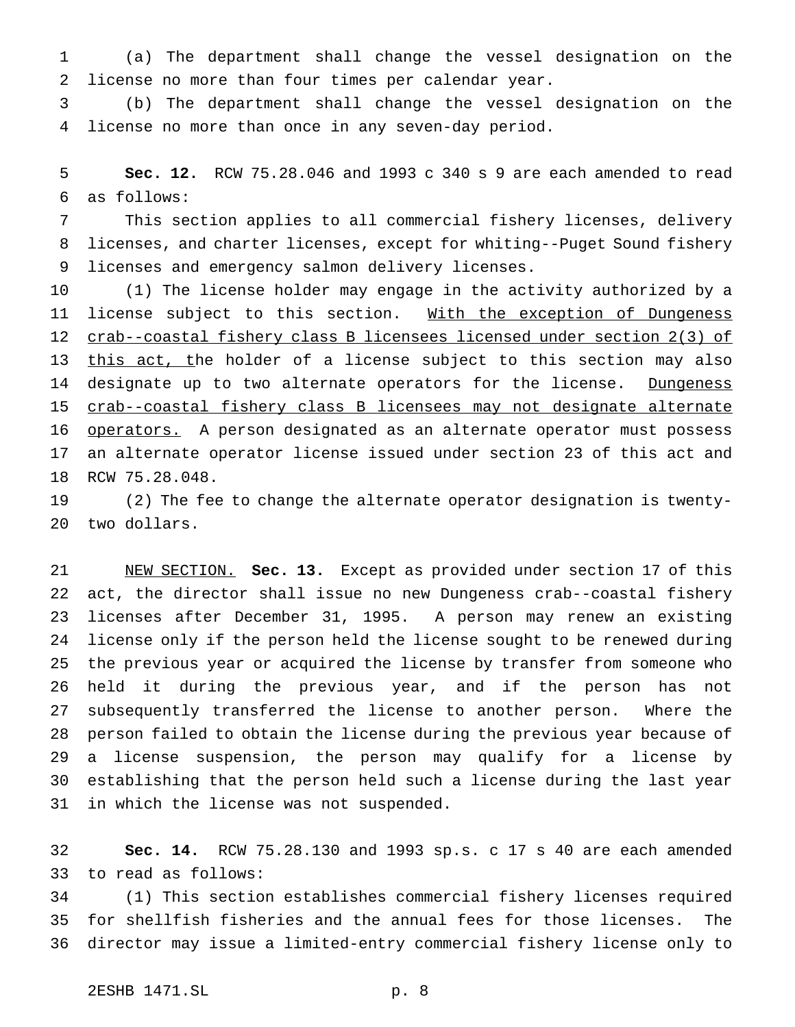(a) The department shall change the vessel designation on the license no more than four times per calendar year.

 (b) The department shall change the vessel designation on the license no more than once in any seven-day period.

 **Sec. 12.** RCW 75.28.046 and 1993 c 340 s 9 are each amended to read as follows:

 This section applies to all commercial fishery licenses, delivery licenses, and charter licenses, except for whiting--Puget Sound fishery licenses and emergency salmon delivery licenses.

 (1) The license holder may engage in the activity authorized by a 11 license subject to this section. With the exception of Dungeness crab--coastal fishery class B licensees licensed under section 2(3) of 13 this act, the holder of a license subject to this section may also 14 designate up to two alternate operators for the license. Dungeness crab--coastal fishery class B licensees may not designate alternate 16 operators. A person designated as an alternate operator must possess an alternate operator license issued under section 23 of this act and RCW 75.28.048.

 (2) The fee to change the alternate operator designation is twenty-two dollars.

 NEW SECTION. **Sec. 13.** Except as provided under section 17 of this act, the director shall issue no new Dungeness crab--coastal fishery licenses after December 31, 1995. A person may renew an existing license only if the person held the license sought to be renewed during the previous year or acquired the license by transfer from someone who held it during the previous year, and if the person has not subsequently transferred the license to another person. Where the person failed to obtain the license during the previous year because of a license suspension, the person may qualify for a license by establishing that the person held such a license during the last year in which the license was not suspended.

 **Sec. 14.** RCW 75.28.130 and 1993 sp.s. c 17 s 40 are each amended to read as follows:

 (1) This section establishes commercial fishery licenses required for shellfish fisheries and the annual fees for those licenses. The director may issue a limited-entry commercial fishery license only to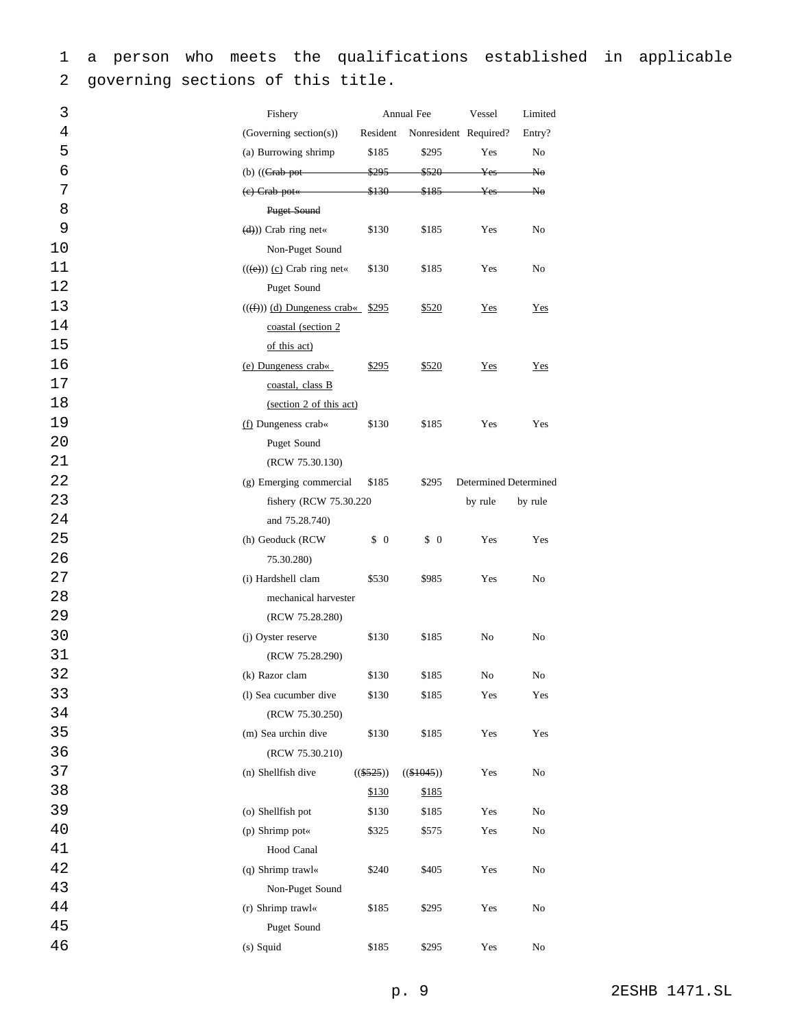a person who meets the qualifications established in applicable governing sections of this title.

| 3  | Fishery                                   | Annual Fee        |                                 | Vessel                       | Limited |
|----|-------------------------------------------|-------------------|---------------------------------|------------------------------|---------|
| 4  | (Governing section(s))                    | Resident          |                                 | Nonresident Required?        | Entry?  |
| 5  | (a) Burrowing shrimp                      | \$185             | \$295                           | Yes                          | No      |
| б  | (b) $((Grab-pot -$                        | <del>\$295</del>  | <del>\$520</del>                | $_{\rm Yes}$                 | No      |
| 7  | $(e)$ Crab pot $\leftarrow$               | <del>\$130-</del> | <del>\$185</del>                | $_{\rm Yes}$                 | ₩o      |
| 8  | Puget Sound                               |                   |                                 |                              |         |
| 9  | $(d))$ Crab ring net«                     | \$130             | \$185                           | Yes                          | No      |
| 10 | Non-Puget Sound                           |                   |                                 |                              |         |
| 11 | $((e))$ (c) Crab ring net«                | \$130             | \$185                           | Yes                          | No      |
| 12 | Puget Sound                               |                   |                                 |                              |         |
| 13 | $((\text{f})))$ (d) Dungeness crab« \$295 |                   | \$520                           | Yes                          | Yes     |
| 14 | coastal (section 2                        |                   |                                 |                              |         |
| 15 | of this act)                              |                   |                                 |                              |         |
| 16 | (e) Dungeness crab«                       | \$295             | \$520                           | $Yes$                        | Yes     |
| 17 | coastal, class B                          |                   |                                 |                              |         |
| 18 | (section 2 of this act)                   |                   |                                 |                              |         |
| 19 | (f) Dungeness crab«                       | \$130             | \$185                           | Yes                          | Yes     |
| 20 | Puget Sound                               |                   |                                 |                              |         |
| 21 | (RCW 75.30.130)                           |                   |                                 |                              |         |
| 22 | (g) Emerging commercial                   | \$185             | \$295                           | <b>Determined Determined</b> |         |
| 23 | fishery (RCW 75.30.220)                   |                   |                                 | by rule                      | by rule |
| 24 | and 75.28.740)                            |                   |                                 |                              |         |
| 25 | (h) Geoduck (RCW                          | $\frac{1}{2}$     | $\begin{matrix} 0 \end{matrix}$ | Yes                          | Yes     |
| 26 | 75.30.280)                                |                   |                                 |                              |         |
| 27 | (i) Hardshell clam                        | \$530             | \$985                           | Yes                          | No      |
| 28 | mechanical harvester                      |                   |                                 |                              |         |
| 29 | (RCW 75.28.280)                           |                   |                                 |                              |         |
| 30 | (j) Oyster reserve                        | \$130             | \$185                           | No                           | No      |
| 31 | (RCW 75.28.290)                           |                   |                                 |                              |         |
| 32 | (k) Razor clam                            | \$130             | \$185                           | No                           | No      |
| 33 | (l) Sea cucumber dive                     | \$130             | \$185                           | Yes                          | Yes     |
| 34 | (RCW 75.30.250)                           |                   |                                 |                              |         |
| 35 | (m) Sea urchin dive                       | \$130             | \$185                           | Yes                          | Yes     |
| 36 | (RCW 75.30.210)                           |                   |                                 |                              |         |
| 37 | (n) Shellfish dive                        | $((\$525))$       | $((\$1045))$                    | Yes                          | No      |
| 38 |                                           | \$130             | \$185                           |                              |         |
| 39 | (o) Shellfish pot                         | \$130             | \$185                           | Yes                          | No      |
| 40 | (p) Shrimp pot«                           | \$325             | \$575                           | Yes                          | No      |
| 41 | Hood Canal                                |                   |                                 |                              |         |
| 42 | (q) Shrimp trawl«                         | \$240             | \$405                           | Yes                          | No      |
| 43 | Non-Puget Sound                           |                   |                                 |                              |         |
| 44 | (r) Shrimp trawl«                         | \$185             | \$295                           | Yes                          | No      |
| 45 | Puget Sound                               |                   |                                 |                              |         |
| 46 | (s) Squid                                 | \$185             | \$295                           | Yes                          | No      |
|    |                                           |                   |                                 |                              |         |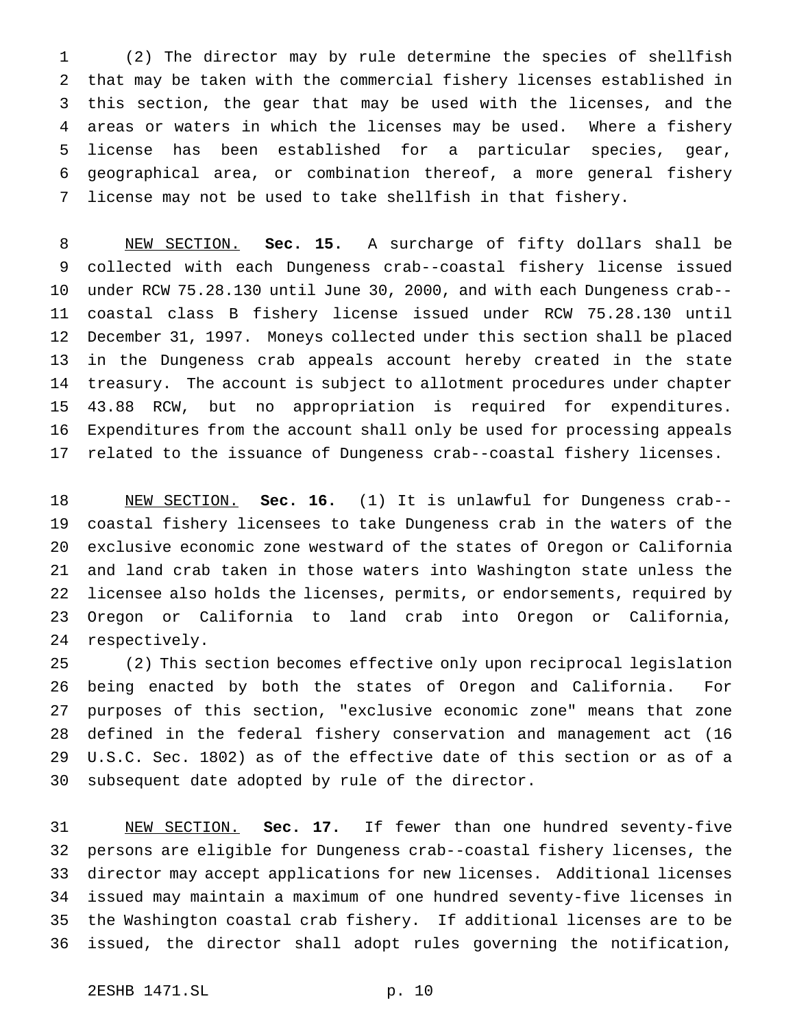(2) The director may by rule determine the species of shellfish that may be taken with the commercial fishery licenses established in this section, the gear that may be used with the licenses, and the areas or waters in which the licenses may be used. Where a fishery license has been established for a particular species, gear, geographical area, or combination thereof, a more general fishery license may not be used to take shellfish in that fishery.

 NEW SECTION. **Sec. 15.** A surcharge of fifty dollars shall be collected with each Dungeness crab--coastal fishery license issued under RCW 75.28.130 until June 30, 2000, and with each Dungeness crab-- coastal class B fishery license issued under RCW 75.28.130 until December 31, 1997. Moneys collected under this section shall be placed in the Dungeness crab appeals account hereby created in the state treasury. The account is subject to allotment procedures under chapter 43.88 RCW, but no appropriation is required for expenditures. Expenditures from the account shall only be used for processing appeals related to the issuance of Dungeness crab--coastal fishery licenses.

 NEW SECTION. **Sec. 16.** (1) It is unlawful for Dungeness crab-- coastal fishery licensees to take Dungeness crab in the waters of the exclusive economic zone westward of the states of Oregon or California and land crab taken in those waters into Washington state unless the licensee also holds the licenses, permits, or endorsements, required by Oregon or California to land crab into Oregon or California, respectively.

 (2) This section becomes effective only upon reciprocal legislation being enacted by both the states of Oregon and California. For purposes of this section, "exclusive economic zone" means that zone defined in the federal fishery conservation and management act (16 U.S.C. Sec. 1802) as of the effective date of this section or as of a subsequent date adopted by rule of the director.

 NEW SECTION. **Sec. 17.** If fewer than one hundred seventy-five persons are eligible for Dungeness crab--coastal fishery licenses, the director may accept applications for new licenses. Additional licenses issued may maintain a maximum of one hundred seventy-five licenses in the Washington coastal crab fishery. If additional licenses are to be issued, the director shall adopt rules governing the notification,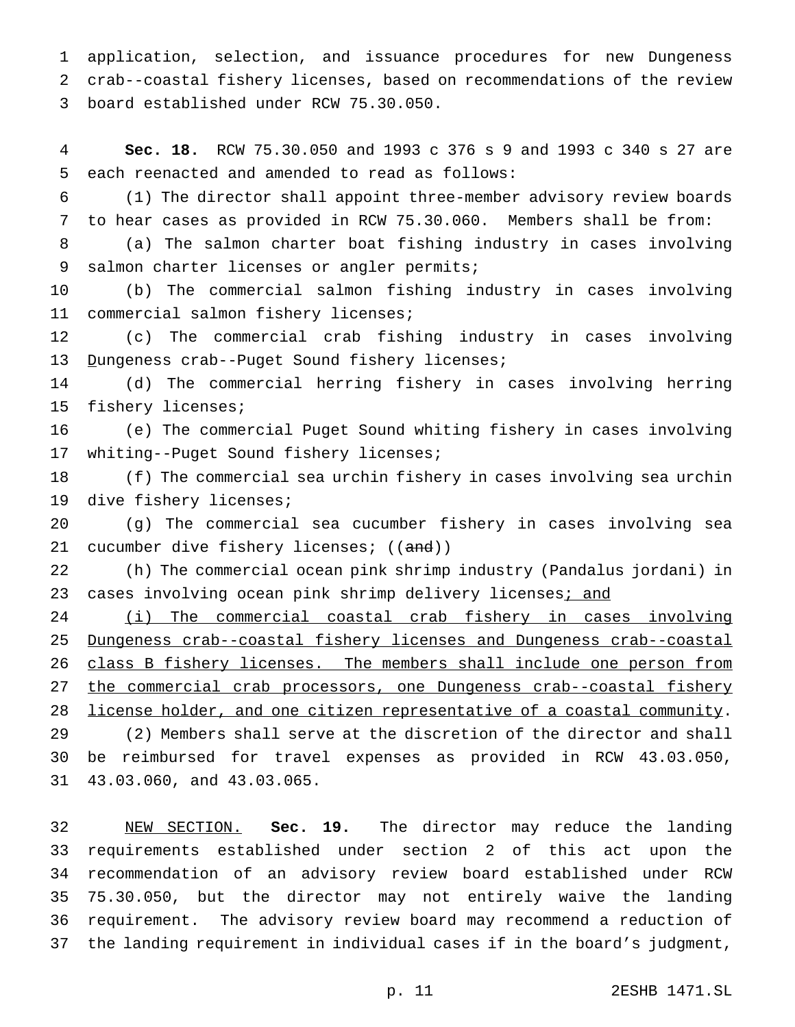application, selection, and issuance procedures for new Dungeness crab--coastal fishery licenses, based on recommendations of the review board established under RCW 75.30.050.

 **Sec. 18.** RCW 75.30.050 and 1993 c 376 s 9 and 1993 c 340 s 27 are each reenacted and amended to read as follows:

 (1) The director shall appoint three-member advisory review boards to hear cases as provided in RCW 75.30.060. Members shall be from:

 (a) The salmon charter boat fishing industry in cases involving salmon charter licenses or angler permits;

 (b) The commercial salmon fishing industry in cases involving commercial salmon fishery licenses;

 (c) The commercial crab fishing industry in cases involving 13 Dungeness crab--Puget Sound fishery licenses;

 (d) The commercial herring fishery in cases involving herring fishery licenses;

 (e) The commercial Puget Sound whiting fishery in cases involving whiting--Puget Sound fishery licenses;

 (f) The commercial sea urchin fishery in cases involving sea urchin dive fishery licenses;

 (g) The commercial sea cucumber fishery in cases involving sea 21 cucumber dive fishery licenses; ((and))

 (h) The commercial ocean pink shrimp industry (Pandalus jordani) in 23 cases involving ocean pink shrimp delivery licenses; and

 (i) The commercial coastal crab fishery in cases involving Dungeness crab--coastal fishery licenses and Dungeness crab--coastal 26 class B fishery licenses. The members shall include one person from 27 the commercial crab processors, one Dungeness crab--coastal fishery 28 license holder, and one citizen representative of a coastal community.

 (2) Members shall serve at the discretion of the director and shall be reimbursed for travel expenses as provided in RCW 43.03.050, 43.03.060, and 43.03.065.

 NEW SECTION. **Sec. 19.** The director may reduce the landing requirements established under section 2 of this act upon the recommendation of an advisory review board established under RCW 75.30.050, but the director may not entirely waive the landing requirement. The advisory review board may recommend a reduction of the landing requirement in individual cases if in the board's judgment,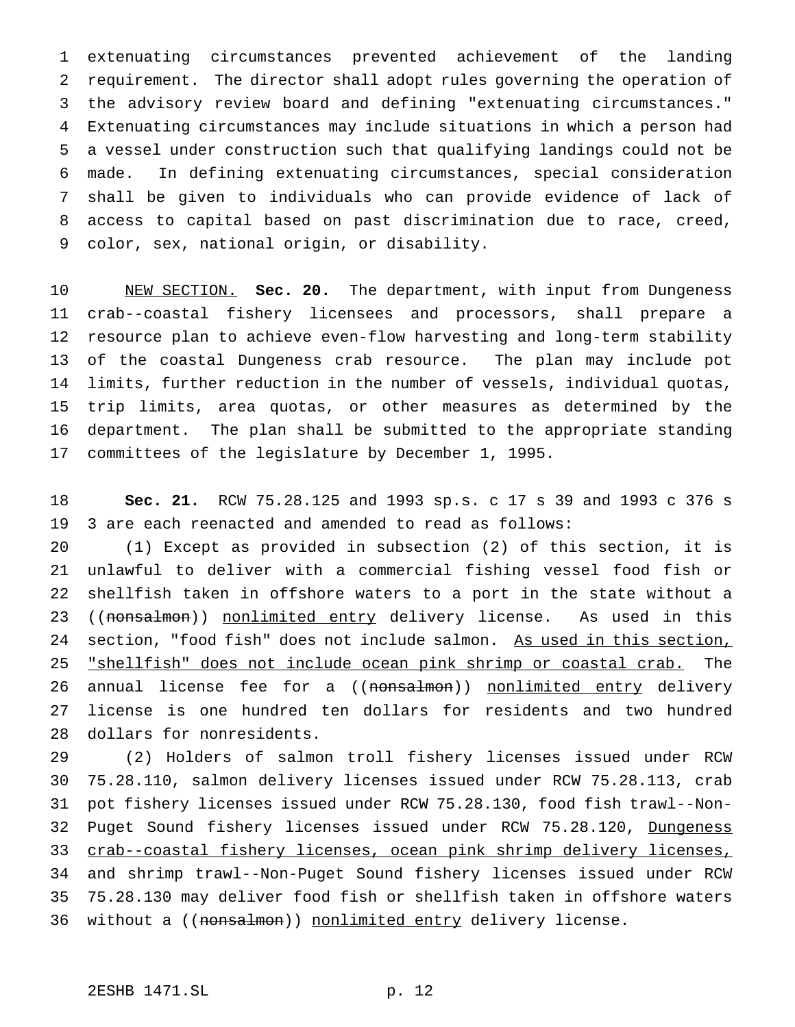extenuating circumstances prevented achievement of the landing requirement. The director shall adopt rules governing the operation of the advisory review board and defining "extenuating circumstances." Extenuating circumstances may include situations in which a person had a vessel under construction such that qualifying landings could not be made. In defining extenuating circumstances, special consideration shall be given to individuals who can provide evidence of lack of access to capital based on past discrimination due to race, creed, color, sex, national origin, or disability.

 NEW SECTION. **Sec. 20.** The department, with input from Dungeness crab--coastal fishery licensees and processors, shall prepare a resource plan to achieve even-flow harvesting and long-term stability of the coastal Dungeness crab resource. The plan may include pot limits, further reduction in the number of vessels, individual quotas, trip limits, area quotas, or other measures as determined by the department. The plan shall be submitted to the appropriate standing committees of the legislature by December 1, 1995.

 **Sec. 21.** RCW 75.28.125 and 1993 sp.s. c 17 s 39 and 1993 c 376 s 3 are each reenacted and amended to read as follows:

 (1) Except as provided in subsection (2) of this section, it is unlawful to deliver with a commercial fishing vessel food fish or shellfish taken in offshore waters to a port in the state without a 23 ((nonsalmon)) nonlimited entry delivery license. As used in this 24 section, "food fish" does not include salmon. As used in this section, "shellfish" does not include ocean pink shrimp or coastal crab. The 26 annual license fee for a ((nonsalmon)) nonlimited entry delivery license is one hundred ten dollars for residents and two hundred dollars for nonresidents.

 (2) Holders of salmon troll fishery licenses issued under RCW 75.28.110, salmon delivery licenses issued under RCW 75.28.113, crab pot fishery licenses issued under RCW 75.28.130, food fish trawl--Non-32 Puget Sound fishery licenses issued under RCW 75.28.120, Dungeness crab--coastal fishery licenses, ocean pink shrimp delivery licenses, and shrimp trawl--Non-Puget Sound fishery licenses issued under RCW 75.28.130 may deliver food fish or shellfish taken in offshore waters 36 without a ((nonsalmon)) nonlimited entry delivery license.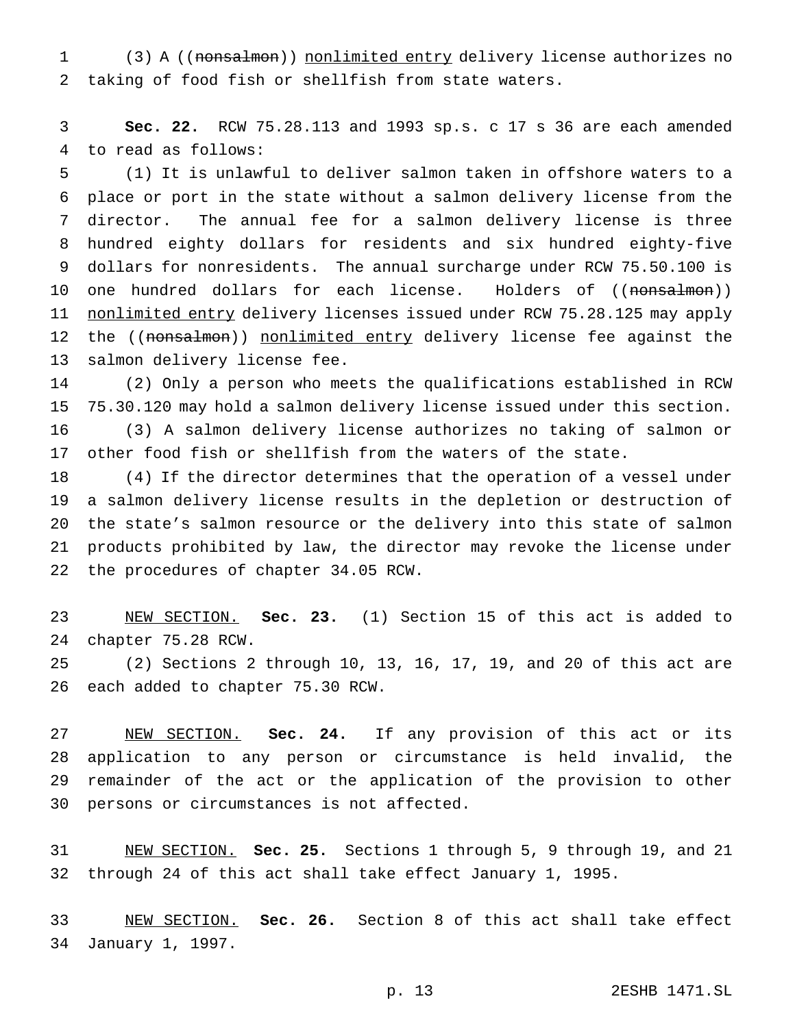(3) A ((nonsalmon)) nonlimited entry delivery license authorizes no taking of food fish or shellfish from state waters.

 **Sec. 22.** RCW 75.28.113 and 1993 sp.s. c 17 s 36 are each amended to read as follows:

 (1) It is unlawful to deliver salmon taken in offshore waters to a place or port in the state without a salmon delivery license from the director. The annual fee for a salmon delivery license is three hundred eighty dollars for residents and six hundred eighty-five dollars for nonresidents. The annual surcharge under RCW 75.50.100 is 10 one hundred dollars for each license. Holders of ((<del>nonsalmon</del>)) 11 nonlimited entry delivery licenses issued under RCW 75.28.125 may apply 12 the ((nonsalmon)) nonlimited entry delivery license fee against the salmon delivery license fee.

 (2) Only a person who meets the qualifications established in RCW 75.30.120 may hold a salmon delivery license issued under this section.

 (3) A salmon delivery license authorizes no taking of salmon or other food fish or shellfish from the waters of the state.

 (4) If the director determines that the operation of a vessel under a salmon delivery license results in the depletion or destruction of the state's salmon resource or the delivery into this state of salmon products prohibited by law, the director may revoke the license under the procedures of chapter 34.05 RCW.

 NEW SECTION. **Sec. 23.** (1) Section 15 of this act is added to chapter 75.28 RCW.

 (2) Sections 2 through 10, 13, 16, 17, 19, and 20 of this act are each added to chapter 75.30 RCW.

 NEW SECTION. **Sec. 24.** If any provision of this act or its application to any person or circumstance is held invalid, the remainder of the act or the application of the provision to other persons or circumstances is not affected.

 NEW SECTION. **Sec. 25.** Sections 1 through 5, 9 through 19, and 21 through 24 of this act shall take effect January 1, 1995.

 NEW SECTION. **Sec. 26.** Section 8 of this act shall take effect January 1, 1997.